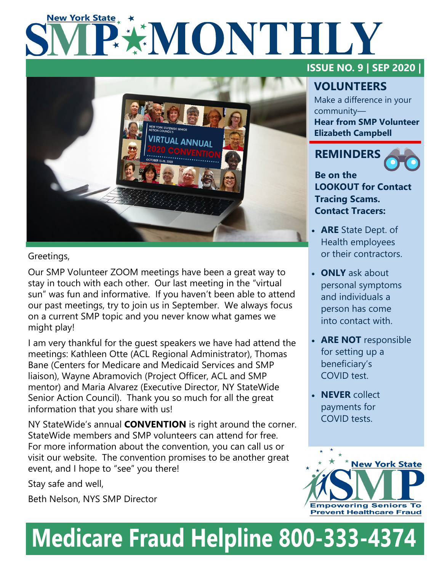# **New York State** PAMONTHLY



## Greetings,

Our SMP Volunteer ZOOM meetings have been a great way to stay in touch with each other. Our last meeting in the "virtual sun" was fun and informative. If you haven't been able to attend our past meetings, try to join us in September. We always focus on a current SMP topic and you never know what games we might play!

I am very thankful for the guest speakers we have had attend the meetings: Kathleen Otte (ACL Regional Administrator), Thomas Bane (Centers for Medicare and Medicaid Services and SMP liaison), Wayne Abramovich (Project Officer, ACL and SMP mentor) and Maria Alvarez (Executive Director, NY StateWide Senior Action Council). Thank you so much for all the great information that you share with us!

NY StateWide's annual **CONVENTION** is right around the corner. StateWide members and SMP volunteers can attend for free. For more information about the convention, you can call us or visit our website. The convention promises to be another great event, and I hope to "see" you there!

Stay safe and well,

Beth Nelson, NYS SMP Director

## **ISSUE NO. 9 | SEP 2020 |**

## **VOLUNTEERS**

Make a difference in your community— **Hear from SMP Volunteer Elizabeth Campbell**

## **REMINDERS**



**Be on the LOOKOUT for Contact Tracing Scams. Contact Tracers:**

- **ARE** State Dept. of Health employees or their contractors.
- **ONLY** ask about personal symptoms and individuals a person has come into contact with.
- **ARE NOT** responsible for setting up a beneficiary's COVID test.
- **NEVER** collect payments for COVID tests.



## **Medicare Fraud Helpline 800-333-4374**